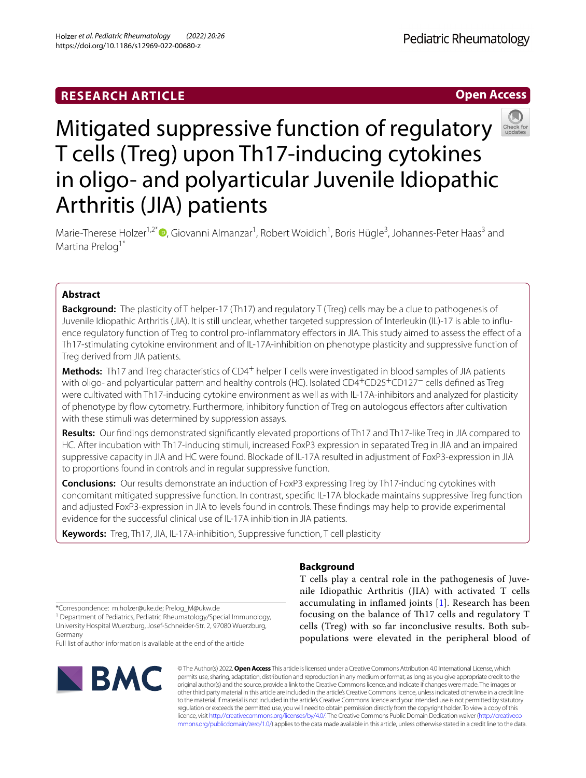# **Open Access**



# Mitigated suppressive function of regulatory T cells (Treg) upon Th17-inducing cytokines in oligo- and polyarticular Juvenile Idiopathic Arthritis (JIA) patients

Marie-Therese Holzer<sup>1,2\*</sup><sup>®</sup>[,](http://orcid.org/0000-0002-2064-6728) Giovanni Almanzar<sup>1</sup>, Robert Woidich<sup>1</sup>, Boris Hügle<sup>3</sup>, Johannes-Peter Haas<sup>3</sup> and Martina Prelog<sup>1\*</sup>

# **Abstract**

**Background:** The plasticity of T helper-17 (Th17) and regulatory T (Treg) cells may be a clue to pathogenesis of Juvenile Idiopathic Arthritis (JIA). It is still unclear, whether targeted suppression of Interleukin (IL)-17 is able to influence regulatory function of Treg to control pro-infammatory efectors in JIA. This study aimed to assess the efect of a Th17-stimulating cytokine environment and of IL-17A-inhibition on phenotype plasticity and suppressive function of Treg derived from JIA patients.

**Methods:** Th17 and Treg characteristics of CD4+ helper T cells were investigated in blood samples of JIA patients with oligo- and polyarticular pattern and healthy controls (HC). Isolated CD4+CD25+CD127− cells defned as Treg were cultivated with Th17-inducing cytokine environment as well as with IL-17A-inhibitors and analyzed for plasticity of phenotype by fow cytometry. Furthermore, inhibitory function of Treg on autologous efectors after cultivation with these stimuli was determined by suppression assays.

**Results:** Our fndings demonstrated signifcantly elevated proportions of Th17 and Th17-like Treg in JIA compared to HC. After incubation with Th17-inducing stimuli, increased FoxP3 expression in separated Treg in JIA and an impaired suppressive capacity in JIA and HC were found. Blockade of IL-17A resulted in adjustment of FoxP3-expression in JIA to proportions found in controls and in regular suppressive function.

**Conclusions:** Our results demonstrate an induction of FoxP3 expressing Treg by Th17-inducing cytokines with concomitant mitigated suppressive function. In contrast, specifc IL-17A blockade maintains suppressive Treg function and adjusted FoxP3-expression in JIA to levels found in controls. These fndings may help to provide experimental evidence for the successful clinical use of IL-17A inhibition in JIA patients.

**Keywords:** Treg, Th17, JIA, IL-17A-inhibition, Suppressive function, T cell plasticity

# **Background**

T cells play a central role in the pathogenesis of Juvenile Idiopathic Arthritis (JIA) with activated T cells accumulating in infamed joints [\[1](#page-6-0)]. Research has been focusing on the balance of Th17 cells and regulatory  $T$ cells (Treg) with so far inconclusive results. Both subpopulations were elevated in the peripheral blood of

\*Correspondence: m.holzer@uke.de; Prelog\_M@ukw.de

<sup>1</sup> Department of Pediatrics, Pediatric Rheumatology/Special Immunology, University Hospital Wuerzburg, Josef‑Schneider‑Str. 2, 97080 Wuerzburg, Germany

Full list of author information is available at the end of the article



© The Author(s) 2022. **Open Access** This article is licensed under a Creative Commons Attribution 4.0 International License, which permits use, sharing, adaptation, distribution and reproduction in any medium or format, as long as you give appropriate credit to the original author(s) and the source, provide a link to the Creative Commons licence, and indicate if changes were made. The images or other third party material in this article are included in the article's Creative Commons licence, unless indicated otherwise in a credit line to the material. If material is not included in the article's Creative Commons licence and your intended use is not permitted by statutory regulation or exceeds the permitted use, you will need to obtain permission directly from the copyright holder. To view a copy of this licence, visit [http://creativecommons.org/licenses/by/4.0/.](http://creativecommons.org/licenses/by/4.0/) The Creative Commons Public Domain Dedication waiver ([http://creativeco](http://creativecommons.org/publicdomain/zero/1.0/) [mmons.org/publicdomain/zero/1.0/](http://creativecommons.org/publicdomain/zero/1.0/)) applies to the data made available in this article, unless otherwise stated in a credit line to the data.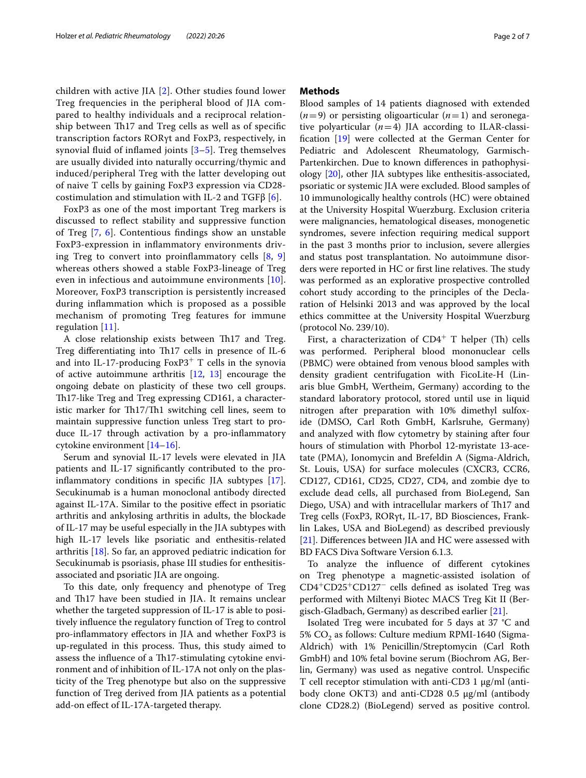children with active JIA [[2\]](#page-6-1). Other studies found lower Treg frequencies in the peripheral blood of JIA compared to healthy individuals and a reciprocal relationship between Th17 and Treg cells as well as of specific transcription factors RORγt and FoxP3, respectively, in synovial fluid of inflamed joints  $[3-5]$  $[3-5]$ . Treg themselves are usually divided into naturally occurring/thymic and induced/peripheral Treg with the latter developing out of naive T cells by gaining FoxP3 expression via CD28 costimulation and stimulation with IL-2 and TGF $\beta$  [[6\]](#page-6-4).

FoxP3 as one of the most important Treg markers is discussed to refect stability and suppressive function of Treg [[7,](#page-6-5) [6](#page-6-4)]. Contentious fndings show an unstable FoxP3-expression in infammatory environments driving Treg to convert into proinfammatory cells [[8,](#page-6-6) [9](#page-6-7)] whereas others showed a stable FoxP3-lineage of Treg even in infectious and autoimmune environments [[10](#page-6-8)]. Moreover, FoxP3 transcription is persistently increased during infammation which is proposed as a possible mechanism of promoting Treg features for immune regulation [[11\]](#page-6-9).

A close relationship exists between Th<sub>17</sub> and Treg. Treg differentiating into Th17 cells in presence of IL-6 and into IL-17-producing  $FoxP3$ <sup>+</sup> T cells in the synovia of active autoimmune arthritis [\[12,](#page-6-10) [13\]](#page-6-11) encourage the ongoing debate on plasticity of these two cell groups. Th17-like Treg and Treg expressing CD161, a characteristic marker for Th17/Th1 switching cell lines, seem to maintain suppressive function unless Treg start to produce IL-17 through activation by a pro-infammatory cytokine environment [\[14](#page-6-12)[–16\]](#page-6-13).

Serum and synovial IL-17 levels were elevated in JIA patients and IL-17 signifcantly contributed to the proinfammatory conditions in specifc JIA subtypes [\[17](#page-6-14)]. Secukinumab is a human monoclonal antibody directed against IL-17A. Similar to the positive efect in psoriatic arthritis and ankylosing arthritis in adults, the blockade of IL-17 may be useful especially in the JIA subtypes with high IL-17 levels like psoriatic and enthesitis-related arthritis [[18\]](#page-6-15). So far, an approved pediatric indication for Secukinumab is psoriasis, phase III studies for enthesitisassociated and psoriatic JIA are ongoing.

To this date, only frequency and phenotype of Treg and Th17 have been studied in JIA. It remains unclear whether the targeted suppression of IL-17 is able to positively infuence the regulatory function of Treg to control pro-infammatory efectors in JIA and whether FoxP3 is up-regulated in this process. Thus, this study aimed to assess the influence of a Th17-stimulating cytokine environment and of inhibition of IL-17A not only on the plasticity of the Treg phenotype but also on the suppressive function of Treg derived from JIA patients as a potential add-on efect of IL-17A-targeted therapy.

## **Methods**

Blood samples of 14 patients diagnosed with extended  $(n=9)$  or persisting oligoarticular  $(n=1)$  and seronegative polyarticular  $(n=4)$  JIA according to ILAR-classifcation [\[19](#page-6-16)] were collected at the German Center for Pediatric and Adolescent Rheumatology, Garmisch-Partenkirchen. Due to known diferences in pathophysiology [[20](#page-6-17)], other JIA subtypes like enthesitis-associated, psoriatic or systemic JIA were excluded. Blood samples of 10 immunologically healthy controls (HC) were obtained at the University Hospital Wuerzburg. Exclusion criteria were malignancies, hematological diseases, monogenetic syndromes, severe infection requiring medical support in the past 3 months prior to inclusion, severe allergies and status post transplantation. No autoimmune disorders were reported in HC or first line relatives. The study was performed as an explorative prospective controlled cohort study according to the principles of the Declaration of Helsinki 2013 and was approved by the local ethics committee at the University Hospital Wuerzburg (protocol No. 239/10).

First, a characterization of  $CD4^+$  T helper (Th) cells was performed. Peripheral blood mononuclear cells (PBMC) were obtained from venous blood samples with density gradient centrifugation with FicoLite-H (Linaris blue GmbH, Wertheim, Germany) according to the standard laboratory protocol, stored until use in liquid nitrogen after preparation with 10% dimethyl sulfoxide (DMSO, Carl Roth GmbH, Karlsruhe, Germany) and analyzed with flow cytometry by staining after four hours of stimulation with Phorbol 12-myristate 13-acetate (PMA), Ionomycin and Brefeldin A (Sigma-Aldrich, St. Louis, USA) for surface molecules (CXCR3, CCR6, CD127, CD161, CD25, CD27, CD4, and zombie dye to exclude dead cells, all purchased from BioLegend, San Diego, USA) and with intracellular markers of Th17 and Treg cells (FoxP3, RORγt, IL-17, BD Biosciences, Franklin Lakes, USA and BioLegend) as described previously [[21\]](#page-6-18). Diferences between JIA and HC were assessed with BD FACS Diva Software Version 6.1.3.

To analyze the infuence of diferent cytokines on Treg phenotype a magnetic-assisted isolation of CD4<sup>+</sup>CD25<sup>+</sup>CD127<sup>−</sup> cells defned as isolated Treg was performed with Miltenyi Biotec MACS Treg Kit II (Bergisch-Gladbach, Germany) as described earlier [\[21\]](#page-6-18).

Isolated Treg were incubated for 5 days at 37 °C and 5%  $CO<sub>2</sub>$  as follows: Culture medium RPMI-1640 (Sigma-Aldrich) with 1% Penicillin/Streptomycin (Carl Roth GmbH) and 10% fetal bovine serum (Biochrom AG, Berlin, Germany) was used as negative control. Unspecifc T cell receptor stimulation with anti-CD3 1 μg/ml (antibody clone OKT3) and anti-CD28 0.5 μg/ml (antibody clone CD28.2) (BioLegend) served as positive control.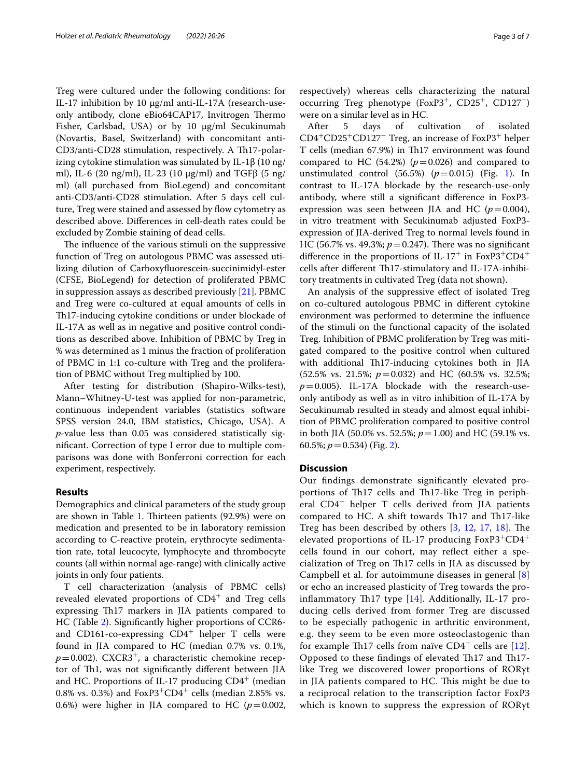Treg were cultured under the following conditions: for IL-17 inhibition by 10 μg/ml anti-IL-17A (research-useonly antibody, clone eBio64CAP17, Invitrogen Thermo Fisher, Carlsbad, USA) or by 10 μg/ml Secukinumab (Novartis, Basel, Switzerland) with concomitant anti-CD3/anti-CD28 stimulation, respectively. A Th17-polarizing cytokine stimulation was simulated by IL-1β (10 ng/ ml), IL-6 (20 ng/ml), IL-23 (10 μg/ml) and TGFβ (5 ng/ ml) (all purchased from BioLegend) and concomitant anti-CD3/anti-CD28 stimulation. After 5 days cell culture, Treg were stained and assessed by flow cytometry as described above. Diferences in cell-death rates could be excluded by Zombie staining of dead cells.

The influence of the various stimuli on the suppressive function of Treg on autologous PBMC was assessed utilizing dilution of Carboxyfuorescein-succinimidyl-ester (CFSE, BioLegend) for detection of proliferated PBMC in suppression assays as described previously [[21](#page-6-18)]. PBMC and Treg were co-cultured at equal amounts of cells in Th17-inducing cytokine conditions or under blockade of IL-17A as well as in negative and positive control conditions as described above. Inhibition of PBMC by Treg in % was determined as 1 minus the fraction of proliferation of PBMC in 1:1 co-culture with Treg and the proliferation of PBMC without Treg multiplied by 100.

After testing for distribution (Shapiro-Wilks-test), Mann–Whitney-U-test was applied for non-parametric, continuous independent variables (statistics software SPSS version 24.0, IBM statistics, Chicago, USA). A *p*-value less than 0.05 was considered statistically signifcant. Correction of type I error due to multiple comparisons was done with Bonferroni correction for each experiment, respectively.

## **Results**

Demographics and clinical parameters of the study group are shown in Table [1](#page-3-0). Thirteen patients (92.9%) were on medication and presented to be in laboratory remission according to C-reactive protein, erythrocyte sedimentation rate, total leucocyte, lymphocyte and thrombocyte counts (all within normal age-range) with clinically active joints in only four patients.

T cell characterization (analysis of PBMC cells) revealed elevated proportions of  $CD4^+$  and Treg cells expressing Th17 markers in JIA patients compared to HC (Table [2\)](#page-4-0). Signifcantly higher proportions of CCR6 and CD161-co-expressing  $CD4^+$  helper T cells were found in JIA compared to HC (median 0.7% vs. 0.1%,  $p=0.002$ ). CXCR3<sup>+</sup>, a characteristic chemokine receptor of Th1, was not significantly different between JIA and HC. Proportions of IL-17 producing  $CD4^+$  (median 0.8% vs. 0.3%) and  $FoxP3+CD4^+$  cells (median 2.85% vs. 0.6%) were higher in JIA compared to HC  $(p=0.002,$ 

respectively) whereas cells characterizing the natural occurring Treg phenotype (FoxP3<sup>+</sup>, CD25<sup>+</sup>, CD127<sup>−</sup>) were on a similar level as in HC.

After 5 days of cultivation of isolated CD4<sup>+</sup>CD25<sup>+</sup>CD127<sup>−</sup> Treg, an increase of FoxP3<sup>+</sup> helper T cells (median 67.9%) in Th17 environment was found compared to HC  $(54.2%)$   $(p=0.026)$  and compared to unstimulated control  $(56.5%)$   $(p=0.015)$  (Fig. [1\)](#page-4-1). In contrast to IL-17A blockade by the research-use-only antibody, where still a signifcant diference in FoxP3 expression was seen between JIA and HC  $(p=0.004)$ , in vitro treatment with Secukinumab adjusted FoxP3 expression of JIA-derived Treg to normal levels found in HC (56.7% vs. 49.3%;  $p = 0.247$ ). There was no significant difference in the proportions of IL-17<sup>+</sup> in FoxP3<sup>+</sup>CD4<sup>+</sup> cells after different Th17-stimulatory and IL-17A-inhibitory treatments in cultivated Treg (data not shown).

An analysis of the suppressive efect of isolated Treg on co-cultured autologous PBMC in diferent cytokine environment was performed to determine the infuence of the stimuli on the functional capacity of the isolated Treg. Inhibition of PBMC proliferation by Treg was mitigated compared to the positive control when cultured with additional Th17-inducing cytokines both in JIA (52.5% vs. 21.5%; *p*=0.032) and HC (60.5% vs. 32.5%;  $p=0.005$ ). IL-17A blockade with the research-useonly antibody as well as in vitro inhibition of IL-17A by Secukinumab resulted in steady and almost equal inhibition of PBMC proliferation compared to positive control in both JIA (50.0% vs. 52.5%; *p*=1.00) and HC (59.1% vs. 60.5%; *p*=0.534) (Fig. [2\)](#page-5-0).

#### **Discussion**

Our fndings demonstrate signifcantly elevated proportions of Th17 cells and Th17-like Treg in peripheral CD4+ helper T cells derived from JIA patients compared to HC. A shift towards Th17 and Th17-like Treg has been described by others  $[3, 12, 17, 18]$  $[3, 12, 17, 18]$  $[3, 12, 17, 18]$  $[3, 12, 17, 18]$  $[3, 12, 17, 18]$  $[3, 12, 17, 18]$  $[3, 12, 17, 18]$  $[3, 12, 17, 18]$ . The elevated proportions of IL-17 producing  $FoxP3+CD4^+$ cells found in our cohort, may refect either a specialization of Treg on Th17 cells in JIA as discussed by Campbell et al. for autoimmune diseases in general [\[8](#page-6-6)] or echo an increased plasticity of Treg towards the proinflammatory Th17 type  $[14]$  $[14]$ . Additionally, IL-17 producing cells derived from former Treg are discussed to be especially pathogenic in arthritic environment, e.g. they seem to be even more osteoclastogenic than for example Th17 cells from naïve  $CD4^+$  cells are [[12](#page-6-10)]. Opposed to these findings of elevated Th17 and Th17like Treg we discovered lower proportions of RORγt in JIA patients compared to HC. This might be due to a reciprocal relation to the transcription factor FoxP3 which is known to suppress the expression of RORγt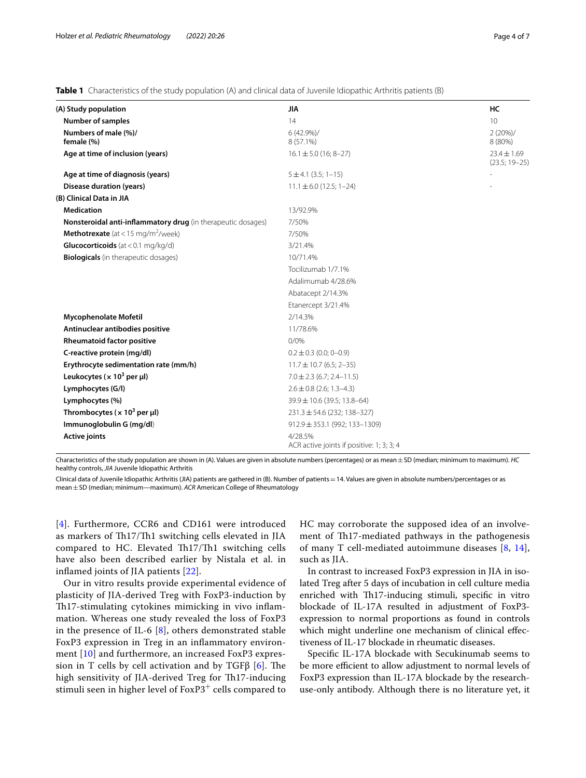<span id="page-3-0"></span>**Table 1** Characteristics of the study population (A) and clinical data of Juvenile Idiopathic Arthritis patients (B)

| (A) Study population                                         | JIA                                                  | НC                                 |
|--------------------------------------------------------------|------------------------------------------------------|------------------------------------|
| <b>Number of samples</b>                                     | 14                                                   | 10                                 |
| Numbers of male (%)/<br>female (%)                           | $6(42.9\%)/$<br>8 (57.1%)                            | 2(20%)/<br>8 (80%)                 |
| Age at time of inclusion (years)                             | $16.1 \pm 5.0$ (16; 8-27)                            | $23.4 \pm 1.69$<br>$(23.5; 19-25)$ |
| Age at time of diagnosis (years)                             | $5 \pm 4.1$ (3.5; 1-15)                              |                                    |
| <b>Disease duration (years)</b>                              | $11.1 \pm 6.0$ (12.5; 1-24)                          |                                    |
| (B) Clinical Data in JIA                                     |                                                      |                                    |
| <b>Medication</b>                                            | 13/92.9%                                             |                                    |
| Nonsteroidal anti-inflammatory drug (in therapeutic dosages) | 7/50%                                                |                                    |
| <b>Methotrexate</b> (at < 15 mg/m <sup>2</sup> /week)        | 7/50%                                                |                                    |
| Glucocorticoids (at < $0.1 \text{ mg/kg/d}$ )                | 3/21.4%                                              |                                    |
| <b>Biologicals</b> (in therapeutic dosages)                  | 10/71.4%                                             |                                    |
|                                                              | Tocilizumab 1/7.1%                                   |                                    |
|                                                              | Adalimumab 4/28.6%                                   |                                    |
|                                                              | Abatacept 2/14.3%                                    |                                    |
|                                                              | Etanercept 3/21.4%                                   |                                    |
| <b>Mycophenolate Mofetil</b>                                 | 2/14.3%                                              |                                    |
| Antinuclear antibodies positive                              | 11/78.6%                                             |                                    |
| <b>Rheumatoid factor positive</b>                            | 0/0%                                                 |                                    |
| C-reactive protein (mg/dl)                                   | $0.2 \pm 0.3$ (0.0; 0-0.9)                           |                                    |
| Erythrocyte sedimentation rate (mm/h)                        | $11.7 \pm 10.7$ (6.5; 2-35)                          |                                    |
| Leukocytes ( $\times$ 10 <sup>3</sup> per µl)                | $7.0 \pm 2.3$ (6.7; 2.4-11.5)                        |                                    |
| Lymphocytes (G/l)                                            | $2.6 \pm 0.8$ (2.6; 1.3-4.3)                         |                                    |
| Lymphocytes (%)                                              | 39.9 ± 10.6 (39.5; 13.8-64)                          |                                    |
| Thrombocytes ( $\times$ 10 <sup>3</sup> per µl)              | $231.3 \pm 54.6$ (232; 138-327)                      |                                    |
| Immunoglobulin G (mg/dl)                                     | $912.9 \pm 353.1$ (992; 133-1309)                    |                                    |
| <b>Active joints</b>                                         | 4/28.5%<br>ACR active joints if positive: 1; 3; 3; 4 |                                    |

Characteristics of the study population are shown in (A). Values are given in absolute numbers (percentages) or as mean±SD (median; minimum to maximum). *HC* healthy controls, *JIA* Juvenile Idiopathic Arthritis

Clinical data of Juvenile Idiopathic Arthritis (JIA) patients are gathered in (B). Number of patients=14. Values are given in absolute numbers/percentages or as mean±SD (median; minimum—maximum). *ACR* American College of Rheumatology

[[4](#page-6-19)]. Furthermore, CCR6 and CD161 were introduced as markers of Th17/Th1 switching cells elevated in JIA compared to HC. Elevated Th17/Th1 switching cells have also been described earlier by Nistala et al. in infamed joints of JIA patients [[22](#page-6-20)].

Our in vitro results provide experimental evidence of plasticity of JIA-derived Treg with FoxP3-induction by Th17-stimulating cytokines mimicking in vivo inflammation. Whereas one study revealed the loss of FoxP3 in the presence of IL-6  $[8]$  $[8]$  $[8]$ , others demonstrated stable FoxP3 expression in Treg in an infammatory environment [\[10\]](#page-6-8) and furthermore, an increased FoxP3 expression in T cells by cell activation and by TGF $\beta$  [[6\]](#page-6-4). The high sensitivity of JIA-derived Treg for Th17-inducing stimuli seen in higher level of FoxP3<sup>+</sup> cells compared to HC may corroborate the supposed idea of an involvement of Th17-mediated pathways in the pathogenesis of many T cell-mediated autoimmune diseases [[8](#page-6-6), [14](#page-6-12)], such as JIA.

In contrast to increased FoxP3 expression in JIA in isolated Treg after 5 days of incubation in cell culture media enriched with Th17-inducing stimuli, specific in vitro blockade of IL-17A resulted in adjustment of FoxP3 expression to normal proportions as found in controls which might underline one mechanism of clinical efectiveness of IL-17 blockade in rheumatic diseases.

Specifc IL-17A blockade with Secukinumab seems to be more efficient to allow adjustment to normal levels of FoxP3 expression than IL-17A blockade by the researchuse-only antibody. Although there is no literature yet, it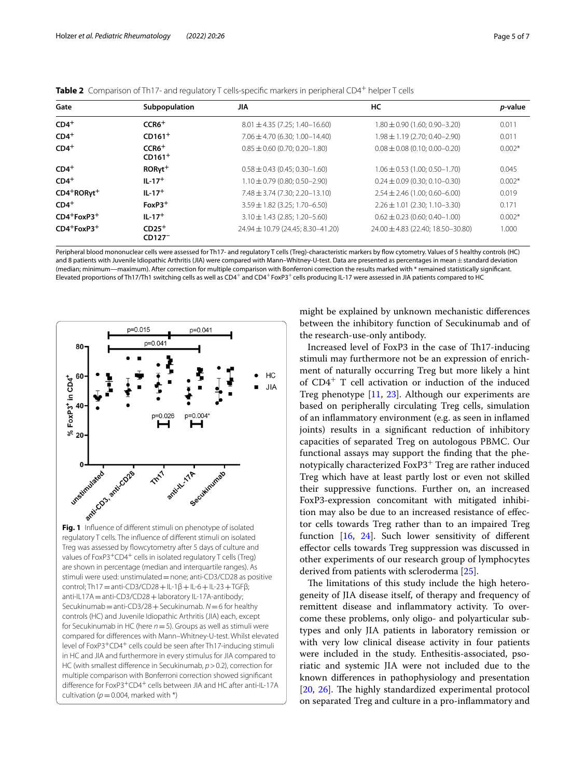| Gate                          | Subpopulation                  | JIA                                | НC                                  | <i>p</i> -value |
|-------------------------------|--------------------------------|------------------------------------|-------------------------------------|-----------------|
| $CD4+$                        | $CCR6+$                        | $8.01 \pm 4.35$ (7.25; 1.40-16.60) | $1.80 \pm 0.90$ (1.60; 0.90-3.20)   | 0.011           |
| $CD4+$                        | $CD161+$                       | $7.06 \pm 4.70$ (6.30; 1.00-14.40) | $1.98 \pm 1.19$ (2.70; 0.40-2.90)   | 0.011           |
| $CD4+$<br>$CCR6+$<br>$CD161+$ |                                | $0.85 \pm 0.60$ (0.70; 0.20-1.80)  | $0.08 \pm 0.08$ (0.10; 0.00-0.20)   | $0.002*$        |
| $CD4+$                        | $RORyt^+$                      | $0.58 \pm 0.43$ (0.45; 0.30-1.60)  | $1.06 \pm 0.53$ (1.00; 0.50-1.70)   | 0.045           |
| $CD4+$                        | $IL - 17 +$                    | $1.10 \pm 0.79$ (0.80; 0.50-2.90)  | $0.24 \pm 0.09$ (0.30; 0.10-0.30)   | $0.002*$        |
| $CD4+RORyt$ <sup>+</sup>      | $IL - 17+$                     | $7.48 \pm 3.74$ (7.30; 2.20-13.10) | $2.54 \pm 2.46$ (1.00; 0.60-6.00)   | 0.019           |
| $CD4+$                        | $FoxP3$ <sup>+</sup>           | $3.59 \pm 1.82$ (3.25; 1.70-6.50)  | $2.26 \pm 1.01$ (2.30; 1.10-3.30)   | 0.171           |
| $CD4+FoxP3+$                  | $IL - 17+$                     | $3.10 \pm 1.43$ (2.85; 1.20-5.60)  | $0.62 \pm 0.23$ (0.60; 0.40-1.00)   | $0.002*$        |
| $CD4+FoxP3+$                  | $CD25+$<br>CD127 <sup>-1</sup> | 24.94 ± 10.79 (24.45; 8.30-41.20)  | 24.00 ± 4.83 (22.40; 18.50 - 30.80) | 1.000           |

<span id="page-4-0"></span>

|  | <b>Table 2</b> Comparison of Th17- and requlatory T cells-specific markers in peripheral CD4 <sup>+</sup> helper T cells |  |
|--|--------------------------------------------------------------------------------------------------------------------------|--|
|  |                                                                                                                          |  |

Peripheral blood mononuclear cells were assessed for Th17- and regulatory T cells (Treg)-characteristic markers by fow cytometry. Values of 5 healthy controls (HC) and 8 patients with Juvenile Idiopathic Arthritis (JIA) were compared with Mann–Whitney-U-test. Data are presented as percentages in mean ± standard deviation (median; minimum—maximum). After correction for multiple comparison with Bonferroni correction the results marked with \* remained statistically signifcant. Elevated proportions of Th17/Th1 switching cells as well as CD4<sup>+</sup> and CD4<sup>+</sup> FoxP3<sup>+</sup> cells producing IL-17 were assessed in JIA patients compared to HC



<span id="page-4-1"></span>regulatory T cells. The infuence of diferent stimuli on isolated Treg was assessed by flowcytometry after 5 days of culture and values of FoxP3<sup>+</sup>CD4<sup>+</sup> cells in isolated regulatory T cells (Treg) are shown in percentage (median and interquartile ranges). As stimuli were used: unstimulated=none; anti-CD3/CD28 as positive control; Th17 = anti-CD3/CD28 + IL-1β + IL-6 + IL-23 + TGFβ; anti-IL17A = anti-CD3/CD28 + laboratory IL-17A-antibody; Secukinumab=anti-CD3/28+Secukinumab. *N*=6 for healthy controls (HC) and Juvenile Idiopathic Arthritis (JIA) each, except for Secukinumab in HC (here *n*=5). Groups as well as stimuli were compared for diferences with Mann–Whitney-U-test. Whilst elevated level of FoxP3+CD4+ cells could be seen after Th17-inducing stimuli in HC and JIA and furthermore in every stimulus for JIA compared to HC (with smallest diference in Secukinumab, *p*>0.2), correction for multiple comparison with Bonferroni correction showed signifcant difference for FoxP3<sup>+</sup>CD4<sup>+</sup> cells between JIA and HC after anti-IL-17A cultivation ( $p=0.004$ , marked with \*)

might be explained by unknown mechanistic diferences between the inhibitory function of Secukinumab and of the research-use-only antibody.

Increased level of FoxP3 in the case of Th17-inducing stimuli may furthermore not be an expression of enrichment of naturally occurring Treg but more likely a hint of CD4+ T cell activation or induction of the induced Treg phenotype [\[11](#page-6-9), [23\]](#page-6-21). Although our experiments are based on peripherally circulating Treg cells, simulation of an infammatory environment (e.g. as seen in infamed joints) results in a signifcant reduction of inhibitory capacities of separated Treg on autologous PBMC. Our functional assays may support the fnding that the phenotypically characterized FoxP3<sup>+</sup> Treg are rather induced Treg which have at least partly lost or even not skilled their suppressive functions. Further on, an increased FoxP3-expression concomitant with mitigated inhibition may also be due to an increased resistance of efector cells towards Treg rather than to an impaired Treg function [[16,](#page-6-13) [24\]](#page-6-22). Such lower sensitivity of diferent efector cells towards Treg suppression was discussed in other experiments of our research group of lymphocytes derived from patients with scleroderma [\[25](#page-6-23)].

The limitations of this study include the high heterogeneity of JIA disease itself, of therapy and frequency of remittent disease and infammatory activity. To overcome these problems, only oligo- and polyarticular subtypes and only JIA patients in laboratory remission or with very low clinical disease activity in four patients were included in the study. Enthesitis-associated, psoriatic and systemic JIA were not included due to the known diferences in pathophysiology and presentation [[20,](#page-6-17) [26](#page-6-24)]. The highly standardized experimental protocol on separated Treg and culture in a pro-infammatory and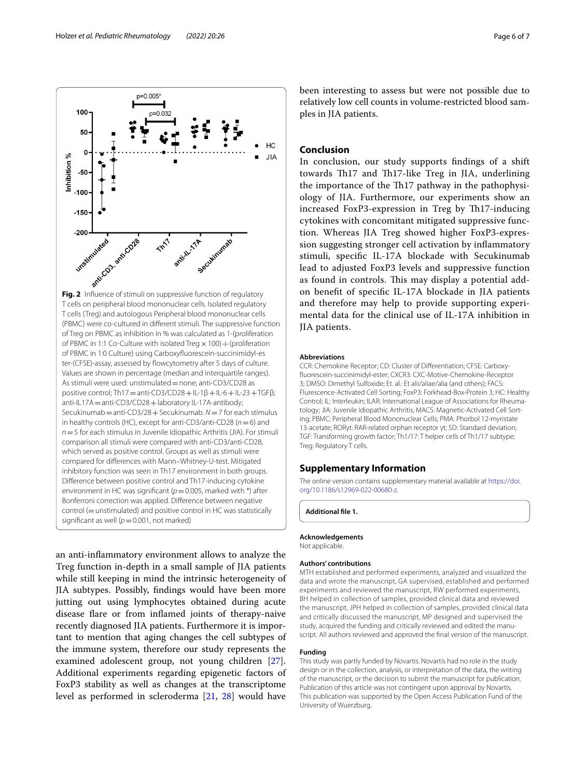an anti-infammatory environment allows to analyze the Treg function in-depth in a small sample of JIA patients while still keeping in mind the intrinsic heterogeneity of JIA subtypes. Possibly, fndings would have been more jutting out using lymphocytes obtained during acute disease fare or from infamed joints of therapy-naive recently diagnosed JIA patients. Furthermore it is important to mention that aging changes the cell subtypes of the immune system, therefore our study represents the examined adolescent group, not young children [\[27](#page-6-25)]. Additional experiments regarding epigenetic factors of FoxP3 stability as well as changes at the transcriptome level as performed in scleroderma [\[21](#page-6-18), [28](#page-6-26)] would have

CCR: Chemokine Receptor; CD: Cluster of Differentiation; CFSE: Carboxyfuorescein-succinimidyl-ester; CXCR3: CXC-Motive-Chemokine-Receptor 3; DMSO: Dimethyl Sulfoxide; Et. al.: Et alii/aliae/alia (and others); FACS: Flurescence-Activated Cell Sorting; FoxP3: Forkhead-Box-Protein 3; HC: Healthy Control; IL: Interleukin; ILAR: International League of Associations for Rheumatology; JIA: Juvenile Idiopathic Arthritis; MACS: Magnetic-Activated Cell Sorting; PBMC: Peripheral Blood Mononuclear Cells; PMA: Phorbol 12-myristate 13-acetate; RORγt: RAR-related orphan receptor γt; SD: Standard deviation; TGF: Transforming growth factor; Th1/17: T helper cells of Th1/17 subtype; Treg: Regulatory T cells.

## **Supplementary Information**

The online version contains supplementary material available at [https://doi.](https://doi.org/10.1186/s12969-022-00680-z) [org/10.1186/s12969-022-00680-z.](https://doi.org/10.1186/s12969-022-00680-z)

**Additional fle 1.**

**Abbreviations**

# **Acknowledgements**

Not applicable.

#### **Authors' contributions**

MTH established and performed experiments, analyzed and visualized the data and wrote the manuscript, GA supervised, established and performed experiments and reviewed the manuscript, RW performed experiments, BH helped in collection of samples, provided clinical data and reviewed the manuscript, JPH helped in collection of samples, provided clinical data and critically discussed the manuscript, MP designed and supervised the study, acquired the funding and critically reviewed and edited the manuscript. All authors reviewed and approved the fnal version of the manuscript.

## **Funding**

This study was partly funded by Novartis. Novartis had no role in the study design or in the collection, analysis, or interpretation of the data, the writing of the manuscript, or the decision to submit the manuscript for publication. Publication of this article was not contingent upon approval by Novartis. This publication was supported by the Open Access Publication Fund of the University of Wuerzburg.

<span id="page-5-0"></span>

p=0.005\*

יצ∩ ∩≃י

 $100 -$ 

been interesting to assess but were not possible due to relatively low cell counts in volume-restricted blood samples in JIA patients.

# **Conclusion**

In conclusion, our study supports fndings of a shift towards Th17 and Th17-like Treg in IIA, underlining the importance of the Th17 pathway in the pathophysiology of JIA. Furthermore, our experiments show an increased FoxP3-expression in Treg by Th17-inducing cytokines with concomitant mitigated suppressive function. Whereas JIA Treg showed higher FoxP3-expression suggesting stronger cell activation by infammatory stimuli, specifc IL-17A blockade with Secukinumab lead to adjusted FoxP3 levels and suppressive function as found in controls. This may display a potential addon beneft of specifc IL-17A blockade in JIA patients and therefore may help to provide supporting experimental data for the clinical use of IL-17A inhibition in JIA patients.